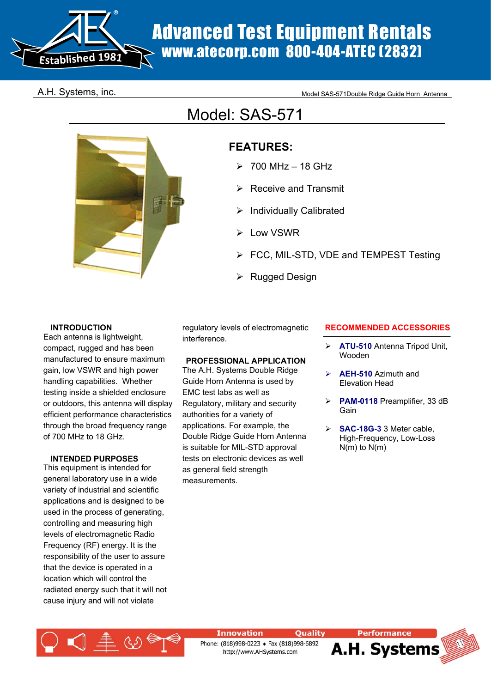

# Advanced Test Equipment Rentals www.atecorp.com 800-404-ATEC (2832)

A.H. Systems, inc. The state of the Model SAS-571Double Ridge Guide Horn Antenna

## Model: SAS-571

## **FEATURES:**

- $>700$  MHz 18 GHz
- $\triangleright$  Receive and Transmit
- Individually Calibrated
- Low VSWR
- FCC, MIL-STD, VDE and TEMPEST Testing
- **Rugged Design**

#### **INTRODUCTION**

Each antenna is lightweight, compact, rugged and has been manufactured to ensure maximum gain, low VSWR and high power handling capabilities. Whether testing inside a shielded enclosure or outdoors, this antenna will display efficient performance characteristics through the broad frequency range of 700 MHz to 18 GHz.

#### **INTENDED PURPOSES**

This equipment is intended for general laboratory use in a wide variety of industrial and scientific applications and is designed to be used in the process of generating, controlling and measuring high levels of electromagnetic Radio Frequency (RF) energy. It is the responsibility of the user to assure that the device is operated in a location which will control the radiated energy such that it will not cause injury and will not violate

regulatory levels of electromagnetic interference.

#### **PROFESSIONAL APPLICATION**

The A.H. Systems Double Ridge Guide Horn Antenna is used by EMC test labs as well as Regulatory, military and security authorities for a variety of applications. For example, the Double Ridge Guide Horn Antenna is suitable for MIL-STD approval tests on electronic devices as well as general field strength measurements.

#### **RECOMMENDED ACCESSORIES**

- ¾ **ATU-510** Antenna Tripod Unit, Wooden
- ¾ **AEH-510** Azimuth and Elevation Head
- ¾ **PAM-0118** Preamplifier, 33 dB Gain
- ¾ **SAC-18G-3** 3 Meter cable, High-Frequency, Low-Loss  $N(m)$  to  $N(m)$



**Innovation** 

Phone: (818)998-0223 + Fax (818)998-6892 http://www.AHSystems.com

Quality

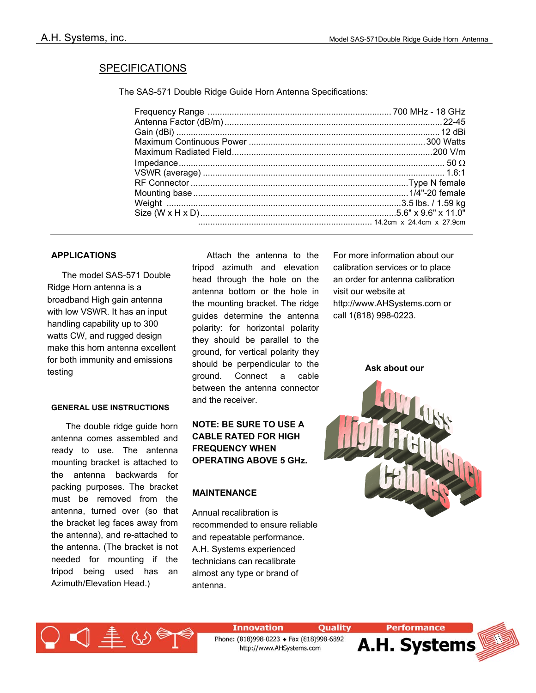#### **SPECIFICATIONS**

The SAS-571 Double Ridge Guide Horn Antenna Specifications:

#### **APPLICATIONS**

 The model SAS-571 Double Ridge Horn antenna is a broadband High gain antenna with low VSWR. It has an input handling capability up to 300 watts CW, and rugged design make this horn antenna excellent for both immunity and emissions testing

#### **GENERAL USE INSTRUCTIONS**

 The double ridge guide horn antenna comes assembled and ready to use. The antenna mounting bracket is attached to the antenna backwards for packing purposes. The bracket must be removed from the antenna, turned over (so that the bracket leg faces away from the antenna), and re-attached to the antenna. (The bracket is not needed for mounting if the tripod being used has an Azimuth/Elevation Head.)

 Attach the antenna to the tripod azimuth and elevation head through the hole on the antenna bottom or the hole in the mounting bracket. The ridge guides determine the antenna polarity: for horizontal polarity they should be parallel to the ground, for vertical polarity they should be perpendicular to the ground. Connect a cable between the antenna connector and the receiver.

**NOTE: BE SURE TO USE A CABLE RATED FOR HIGH FREQUENCY WHEN OPERATING ABOVE 5 GHz.**

#### **MAINTENANCE**

Annual recalibration is recommended to ensure reliable and repeatable performance. A.H. Systems experienced technicians can recalibrate almost any type or brand of antenna.

For more information about our calibration services or to place an order for antenna calibration visit our website at http://www.AHSystems.com or call 1(818) 998-0223.

**Ask about our**





**Innovation** 

Phone: (818)998-0223 + Fax (818)998-6892 http://www.AHSystems.com

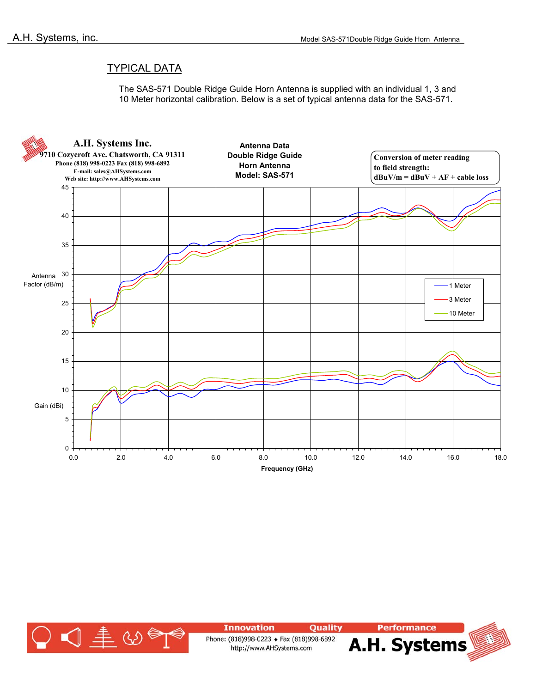### TYPICAL DATA

The SAS-571 Double Ridge Guide Horn Antenna is supplied with an individual 1, 3 and 10 Meter horizontal calibration. Below is a set of typical antenna data for the SAS-571.